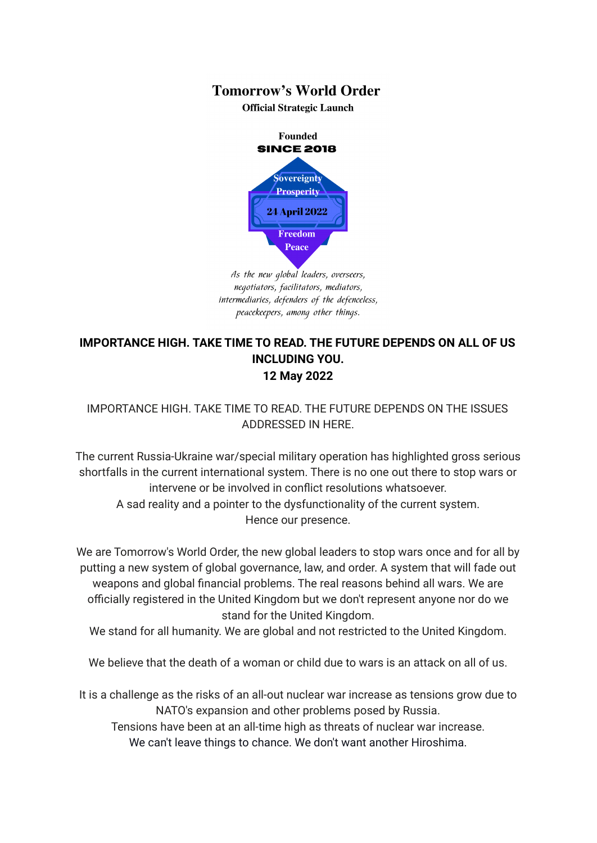## **Tomorrow's World Order**

**Official Strategic Launch** 



As the new global leaders, overseers, negotiators, facilitators, mediators, intermediaries, defenders of the defenceless, peacekeepers, among other things.

## **IMPORTANCE HIGH. TAKE TIME TO READ. THE FUTURE DEPENDS ON ALL OF US INCLUDING YOU. 12 May 2022**

## IMPORTANCE HIGH. TAKE TIME TO READ. THE FUTURE DEPENDS ON THE ISSUES ADDRESSED IN HERE.

The current Russia-Ukraine war/special military operation has highlighted gross serious shortfalls in the current international system. There is no one out there to stop wars or intervene or be involved in conflict resolutions whatsoever. A sad reality and a pointer to the dysfunctionality of the current system. Hence our presence.

We are Tomorrow's World Order, the new global leaders to stop wars once and for all by putting a new system of global governance, law, and order. A system that will fade out weapons and global financial problems. The real reasons behind all wars. We are officially registered in the United Kingdom but we don't represent anyone nor do we stand for the United Kingdom.

We stand for all humanity. We are global and not restricted to the United Kingdom.

We believe that the death of a woman or child due to wars is an attack on all of us.

It is a challenge as the risks of an all-out nuclear war increase as tensions grow due to NATO's expansion and other problems posed by Russia.

Tensions have been at an all-time high as threats of nuclear war increase. We can't leave things to chance. We don't want another Hiroshima.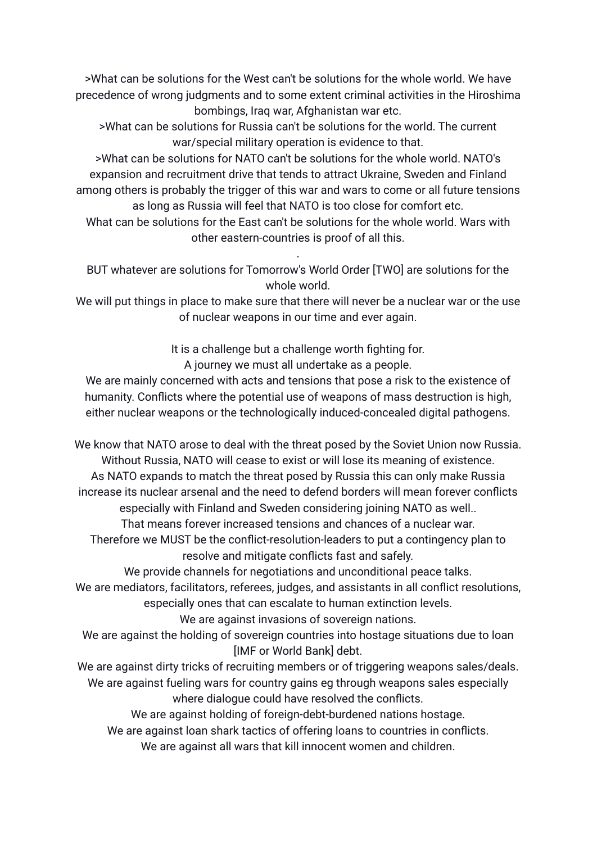>What can be solutions for the West can't be solutions for the whole world. We have precedence of wrong judgments and to some extent criminal activities in the Hiroshima bombings, Iraq war, Afghanistan war etc.

>What can be solutions for Russia can't be solutions for the world. The current war/special military operation is evidence to that.

>What can be solutions for NATO can't be solutions for the whole world. NATO's expansion and recruitment drive that tends to attract Ukraine, Sweden and Finland among others is probably the trigger of this war and wars to come or all future tensions as long as Russia will feel that NATO is too close for comfort etc.

What can be solutions for the East can't be solutions for the whole world. Wars with other eastern-countries is proof of all this.

BUT whatever are solutions for Tomorrow's World Order [TWO] are solutions for the whole world.

.

We will put things in place to make sure that there will never be a nuclear war or the use of nuclear weapons in our time and ever again.

It is a challenge but a challenge worth fighting for.

A journey we must all undertake as a people.

We are mainly concerned with acts and tensions that pose a risk to the existence of humanity. Conflicts where the potential use of weapons of mass destruction is high, either nuclear weapons or the technologically induced-concealed digital pathogens.

We know that NATO arose to deal with the threat posed by the Soviet Union now Russia. Without Russia, NATO will cease to exist or will lose its meaning of existence. As NATO expands to match the threat posed by Russia this can only make Russia increase its nuclear arsenal and the need to defend borders will mean forever conflicts especially with Finland and Sweden considering joining NATO as well.. That means forever increased tensions and chances of a nuclear war.

Therefore we MUST be the conflict-resolution-leaders to put a contingency plan to resolve and mitigate conflicts fast and safely.

We provide channels for negotiations and unconditional peace talks.

We are mediators, facilitators, referees, judges, and assistants in all conflict resolutions, especially ones that can escalate to human extinction levels.

We are against invasions of sovereign nations.

We are against the holding of sovereign countries into hostage situations due to loan [IMF or World Bank] debt.

We are against dirty tricks of recruiting members or of triggering weapons sales/deals. We are against fueling wars for country gains eg through weapons sales especially where dialogue could have resolved the conflicts.

We are against holding of foreign-debt-burdened nations hostage.

We are against loan shark tactics of offering loans to countries in conflicts.

We are against all wars that kill innocent women and children.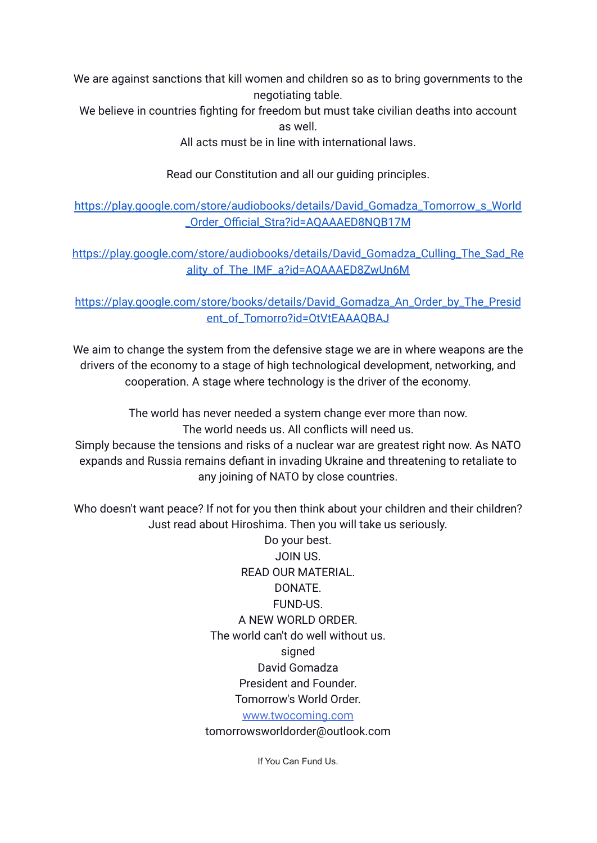We are against sanctions that kill women and children so as to bring governments to the negotiating table.

We believe in countries fighting for freedom but must take civilian deaths into account as well.

All acts must be in line with international laws.

Read our Constitution and all our guiding principles.

[https://play.google.com/store/audiobooks/details/David\\_Gomadza\\_Tomorrow\\_s\\_World](https://play.google.com/store/audiobooks/details/David_Gomadza_Tomorrow_s_World_Order_Official_Stra?id=AQAAAED8NQB17M) [\\_Order\\_Official\\_Stra?id=AQAAAED8NQB17M](https://play.google.com/store/audiobooks/details/David_Gomadza_Tomorrow_s_World_Order_Official_Stra?id=AQAAAED8NQB17M)

[https://play.google.com/store/audiobooks/details/David\\_Gomadza\\_Culling\\_The\\_Sad\\_Re](https://play.google.com/store/audiobooks/details/David_Gomadza_Culling_The_Sad_Reality_of_The_IMF_a?id=AQAAAED8ZwUn6M) [ality\\_of\\_The\\_IMF\\_a?id=AQAAAED8ZwUn6M](https://play.google.com/store/audiobooks/details/David_Gomadza_Culling_The_Sad_Reality_of_The_IMF_a?id=AQAAAED8ZwUn6M)

[https://play.google.com/store/books/details/David\\_Gomadza\\_An\\_Order\\_by\\_The\\_Presid](https://play.google.com/store/books/details/David_Gomadza_An_Order_by_The_President_of_Tomorro?id=OtVtEAAAQBAJ) [ent\\_of\\_Tomorro?id=OtVtEAAAQBAJ](https://play.google.com/store/books/details/David_Gomadza_An_Order_by_The_President_of_Tomorro?id=OtVtEAAAQBAJ)

We aim to change the system from the defensive stage we are in where weapons are the drivers of the economy to a stage of high technological development, networking, and cooperation. A stage where technology is the driver of the economy.

The world has never needed a system change ever more than now. The world needs us. All conflicts will need us. Simply because the tensions and risks of a nuclear war are greatest right now. As NATO

expands and Russia remains defiant in invading Ukraine and threatening to retaliate to any joining of NATO by close countries.

Who doesn't want peace? If not for you then think about your children and their children? Just read about Hiroshima. Then you will take us seriously.

> Do your best. JOIN US. READ OUR MATERIAL. DONATE. FUND-US. A NEW WORLD ORDER. The world can't do well without us. signed David Gomadza President and Founder. Tomorrow's World Order. [www.twocoming.com](http://www.twocoming.com/)

tomorrowsworldorder@outlook.com

If You Can Fund Us.